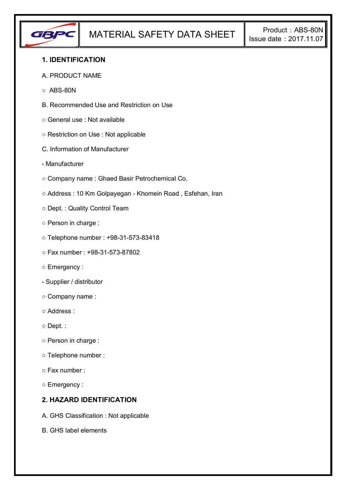

## **1. IDENTIFICATION**

#### A. PRODUCT NAME

- $\circ$  ABS-80N
- B. Recommended Use and Restriction on Use
- General use : Not available
- Restriction on Use : Not applicable
- C. Information of Manufacturer
- Manufacturer
- Company name : Ghaed Basir Petrochemical Co.
- Address : 10 Km Golpayegan Khomein Road , Esfehan, Iran
- Dept. : Quality Control Team
- Person in charge :
- Telephone number : +98-31-573-83418
- Fax number : +98-31-573-87802
- Emergency :
- Supplier / distributor
- Company name :
- Address :
- Dept. :
- Person in charge :
- Telephone number :
- Fax number :
- Emergency :

## **2. HAZARD IDENTIFICATION**

- A. GHS Classification : Not applicable
- B. GHS label elements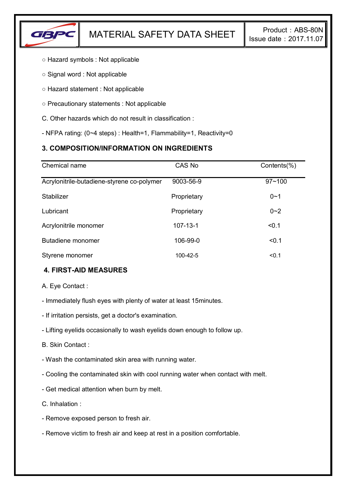

- Hazard symbols : Not applicable
- Signal word : Not applicable
- Hazard statement : Not applicable
- Precautionary statements : Not applicable
- C. Other hazards which do not result in classification :
- NFPA rating: (0~4 steps) : Health=1, Flammability=1, Reactivity=0

# **3. COMPOSITION/INFORMATION ON INGREDIENTS**

| Chemical name                              | CAS No         | Contents(%) |
|--------------------------------------------|----------------|-------------|
| Acrylonitrile-butadiene-styrene co-polymer | 9003-56-9      | $97 - 100$  |
| Stabilizer                                 | Proprietary    | $0 - 1$     |
| Lubricant                                  | Proprietary    | $0 - 2$     |
| Acrylonitrile monomer                      | $107 - 13 - 1$ | < 0.1       |
| Butadiene monomer                          | 106-99-0       | < 0.1       |
| Styrene monomer                            | 100-42-5       | < 0.1       |

# **4. FIRST-AID MEASURES**

A. Eye Contact :

- Immediately flush eyes with plenty of water at least 15minutes.
- If irritation persists, get a doctor's examination.
- Lifting eyelids occasionally to wash eyelids down enough to follow up.
- B. Skin Contact :
- Wash the contaminated skin area with running water.
- Cooling the contaminated skin with cool running water when contact with melt.
- Get medical attention when burn by melt.
- C. Inhalation :
- Remove exposed person to fresh air.
- Remove victim to fresh air and keep at rest in a position comfortable.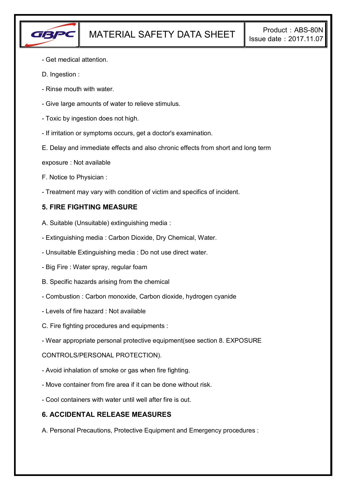

- Get medical attention.
- D. Ingestion :
- Rinse mouth with water.
- Give large amounts of water to relieve stimulus.
- Toxic by ingestion does not high.
- If irritation or symptoms occurs, get a doctor's examination.
- E. Delay and immediate effects and also chronic effects from short and long term
- exposure : Not available
- F. Notice to Physician :
- Treatment may vary with condition of victim and specifics of incident.

## **5. FIRE FIGHTING MEASURE**

- A. Suitable (Unsuitable) extinguishing media :
- Extinguishing media : Carbon Dioxide, Dry Chemical, Water.
- Unsuitable Extinguishing media : Do not use direct water.
- Big Fire : Water spray, regular foam
- B. Specific hazards arising from the chemical
- Combustion : Carbon monoxide, Carbon dioxide, hydrogen cyanide
- Levels of fire hazard : Not available
- C. Fire fighting procedures and equipments :
- Wear appropriate personal protective equipment(see section 8. EXPOSURE

### CONTROLS/PERSONAL PROTECTION).

- Avoid inhalation of smoke or gas when fire fighting.
- Move container from fire area if it can be done without risk.
- Cool containers with water until well after fire is out.

### **6. ACCIDENTAL RELEASE MEASURES**

A. Personal Precautions, Protective Equipment and Emergency procedures :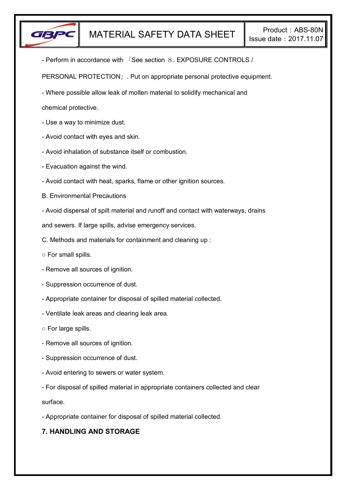

- Perform in accordance with 「See section 8. EXPOSURE CONTROLS /

PERSONAL PROTECTION」. Put on appropriate personal protective equipment.

- Where possible allow leak of molten material to solidify mechanical and

chemical protective.

- Use a way to minimize dust.
- Avoid contact with eyes and skin.
- Avoid inhalation of substance itself or combustion.
- Evacuation against the wind.
- Avoid contact with heat, sparks, flame or other ignition sources.
- B. Environmental Precautions
- Avoid dispersal of spilt material and runoff and contact with waterways, drains

and sewers. If large spills, advise emergency services.

- C. Methods and materials for containment and cleaning up :
- For small spills.
- Remove all sources of ignition.
- Suppression occurrence of dust.
- Appropriate container for disposal of spilled material collected.
- Ventilate leak areas and clearing leak area.
- For large spills.
- Remove all sources of ignition.
- Suppression occurrence of dust.
- Avoid entering to sewers or water system.
- For disposal of spilled material in appropriate containers collected and clear

surface.

- Appropriate container for disposal of spilled material collected.

# **7. HANDLING AND STORAGE**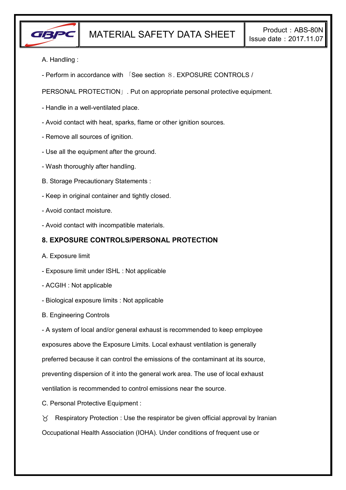

- A. Handling :
- Perform in accordance with 「See section 8. EXPOSURE CONTROLS /

PERSONAL PROTECTION」. Put on appropriate personal protective equipment.

- Handle in a well-ventilated place.
- Avoid contact with heat, sparks, flame or other ignition sources.
- Remove all sources of ignition.
- Use all the equipment after the ground.
- Wash thoroughly after handling.
- B. Storage Precautionary Statements :
- Keep in original container and tightly closed.
- Avoid contact moisture.
- Avoid contact with incompatible materials.

### **8. EXPOSURE CONTROLS/PERSONAL PROTECTION**

- A. Exposure limit
- Exposure limit under ISHL : Not applicable
- ACGIH : Not applicable
- Biological exposure limits : Not applicable
- B. Engineering Controls

- A system of local and/or general exhaust is recommended to keep employee exposures above the Exposure Limits. Local exhaust ventilation is generally preferred because it can control the emissions of the contaminant at its source, preventing dispersion of it into the general work area. The use of local exhaust ventilation is recommended to control emissions near the source.

C. Personal Protective Equipment :

 $\gamma$  Respiratory Protection : Use the respirator be given official approval by Iranian Occupational Health Association (IOHA). Under conditions of frequent use or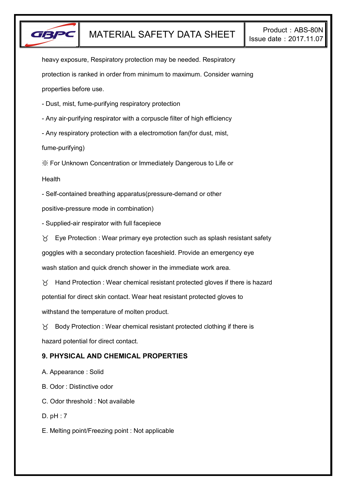

heavy exposure, Respiratory protection may be needed. Respiratory protection is ranked in order from minimum to maximum. Consider warning properties before use.

- Dust, mist, fume-purifying respiratory protection

- Any air-purifying respirator with a corpuscle filter of high efficiency

- Any respiratory protection with a electromotion fan(for dust, mist,

fume-purifying)

※ For Unknown Concentration or Immediately Dangerous to Life or

**Health** 

- Self-contained breathing apparatus(pressure-demand or other

positive-pressure mode in combination)

- Supplied-air respirator with full facepiece

 $\forall$  Eye Protection : Wear primary eye protection such as splash resistant safety

goggles with a secondary protection faceshield. Provide an emergency eye

wash station and quick drench shower in the immediate work area.

 $\gamma$  Hand Protection : Wear chemical resistant protected gloves if there is hazard potential for direct skin contact. Wear heat resistant protected gloves to withstand the temperature of molten product.

 $\gamma$  Body Protection : Wear chemical resistant protected clothing if there is hazard potential for direct contact.

# **9. PHYSICAL AND CHEMICAL PROPERTIES**

A. Appearance : Solid

B. Odor : Distinctive odor

C. Odor threshold : Not available

D. pH : 7

E. Melting point/Freezing point : Not applicable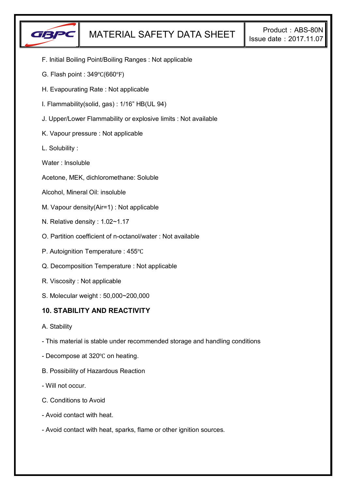

- F. Initial Boiling Point/Boiling Ranges : Not applicable
- G. Flash point : 349℃(660℉)
- H. Evapourating Rate : Not applicable
- I. Flammability(solid, gas) : 1/16" HB(UL 94)
- J. Upper/Lower Flammability or explosive limits : Not available
- K. Vapour pressure : Not applicable
- L. Solubility :
- Water : Insoluble
- Acetone, MEK, dichloromethane: Soluble
- Alcohol, Mineral Oil: insoluble
- M. Vapour density(Air=1) : Not applicable
- N. Relative density : 1.02~1.17
- O. Partition coefficient of n-octanol/water : Not available
- P. Autoignition Temperature : 455℃
- Q. Decomposition Temperature : Not applicable
- R. Viscosity : Not applicable
- S. Molecular weight : 50,000~200,000

### **10. STABILITY AND REACTIVITY**

- A. Stability
- This material is stable under recommended storage and handling conditions
- Decompose at 320℃ on heating.
- B. Possibility of Hazardous Reaction
- Will not occur.
- C. Conditions to Avoid
- Avoid contact with heat.
- Avoid contact with heat, sparks, flame or other ignition sources.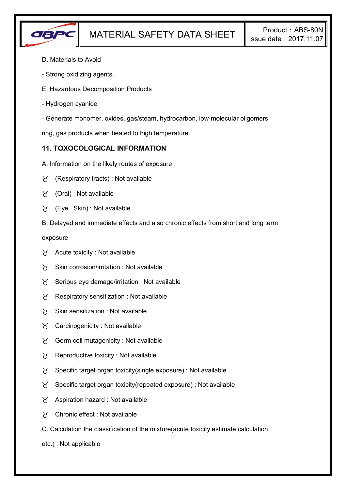

- D. Materials to Avoid
- Strong oxidizing agents.
- E. Hazardous Decomposition Products
- Hydrogen cyanide
- Generate monomer, oxides, gas/steam, hydrocarbon, low-molecular oligomers

ring, gas products when heated to high temperature.

## **11. TOXOCOLOGICAL INFORMATION**

- A. Information on the likely routes of exposure
- $\forall$  (Respiratory tracts) : Not available
- $\forall$  (Oral): Not available
- (Eye ∙ Skin) : Not available
- B. Delayed and immediate effects and also chronic effects from short and long term

exposure

- $\forall$  Acute toxicity : Not available
- $\gamma$  Skin corrosion/irritation : Not available
- $\gamma$  Serious eye damage/irritation : Not available
- $\gamma$  Respiratory sensitization : Not available
- $X$  Skin sensitization : Not available
- Carcinogenicity : Not available
- $\gamma$  Germ cell mutagenicity : Not available
- $\gamma$  Reproductive toxicity : Not available
- $\gamma$  Specific target organ toxicity(single exposure) : Not available
- $\gamma$  Specific target organ toxicity(repeated exposure) : Not available
- $\chi$  Aspiration hazard : Not available
- Chronic effect : Not available
- C. Calculation the classification of the mixture(acute toxicity estimate calculation
- etc.) : Not applicable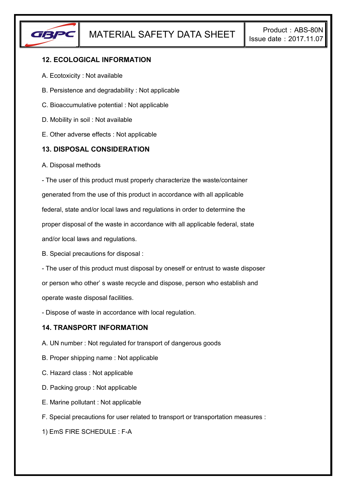

# **12. ECOLOGICAL INFORMATION**

- A. Ecotoxicity : Not available
- B. Persistence and degradability : Not applicable
- C. Bioaccumulative potential : Not applicable
- D. Mobility in soil : Not available
- E. Other adverse effects : Not applicable

### **13. DISPOSAL CONSIDERATION**

A. Disposal methods

- The user of this product must properly characterize the waste/container generated from the use of this product in accordance with all applicable federal, state and/or local laws and regulations in order to determine the proper disposal of the waste in accordance with all applicable federal, state and/or local laws and regulations.

B. Special precautions for disposal :

- The user of this product must disposal by oneself or entrust to waste disposer or person who other' s waste recycle and dispose, person who establish and operate waste disposal facilities.

- Dispose of waste in accordance with local regulation.

### **14. TRANSPORT INFORMATION**

- A. UN number : Not regulated for transport of dangerous goods
- B. Proper shipping name : Not applicable
- C. Hazard class : Not applicable
- D. Packing group : Not applicable
- E. Marine pollutant : Not applicable
- F. Special precautions for user related to transport or transportation measures :

1) EmS FIRE SCHEDULE : F-A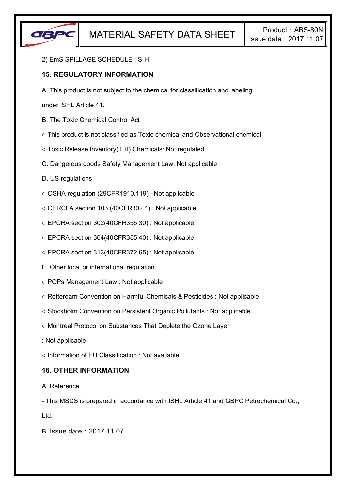

#### 2) EmS SPILLAGE SCHEDULE : S-H

## **15. REGULATORY INFORMATION**

A. This product is not subject to the chemical for classification and labeling

under ISHL Article 41.

- B. The Toxic Chemical Control Act
- This product is not classified as Toxic chemical and Observational chemical
- Toxic Release Inventory(TRI) Chemicals: Not regulated
- C. Dangerous goods Safety Management Law: Not applicable
- D. US regulations
- OSHA regulation (29CFR1910.119) : Not applicable
- CERCLA section 103 (40CFR302.4) : Not applicable
- EPCRA section 302(40CFR355.30) : Not applicable
- EPCRA section 304(40CFR355.40) : Not applicable
- EPCRA section 313(40CFR372.65) : Not applicable
- E. Other local or international regulation
- POPs Management Law : Not applicable
- Rotterdam Convention on Harmful Chemicals & Pesticides : Not applicable
- Stockholm Convention on Persistent Organic Pollutants : Not applicable
- Montreal Protocol on Substances That Deplete the Ozone Layer
- : Not applicable
- Information of EU Classification : Not available

### **16. OTHER INFORMATION**

#### A. Reference

- This MSDS is prepared in accordance with ISHL Article 41 and GBPC Petrochemical Co.,

Ltd.

B. Issue date:2017.11.07